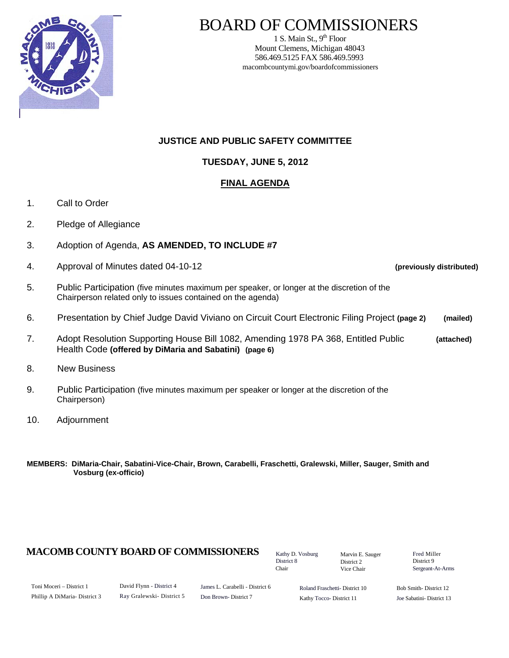

# BOARD OF COMMISSIONERS

1 S. Main St.,  $9<sup>th</sup>$  Floor Mount Clemens, Michigan 48043 586.469.5125 FAX 586.469.5993 macombcountymi.gov/boardofcommissioners

## **JUSTICE AND PUBLIC SAFETY COMMITTEE**

# **TUESDAY, JUNE 5, 2012**

# **FINAL AGENDA**

- 1. Call to Order
- 2. Pledge of Allegiance
- 3. Adoption of Agenda, **AS AMENDED, TO INCLUDE #7**
- 4. Approval of Minutes dated 04-10-12 **(previously distributed)**

- 5. Public Participation (five minutes maximum per speaker, or longer at the discretion of the Chairperson related only to issues contained on the agenda)
- 6. Presentation by Chief Judge David Viviano on Circuit Court Electronic Filing Project **(page 2) (mailed)**
- 7. Adopt Resolution Supporting House Bill 1082, Amending 1978 PA 368, Entitled Public **(attached)**  Health Code **(offered by DiMaria and Sabatini) (page 6)**
- 8. New Business
- 9. Public Participation (five minutes maximum per speaker or longer at the discretion of the Chairperson)
- 10. Adjournment
- **MEMBERS: DiMaria-Chair, Sabatini-Vice-Chair, Brown, Carabelli, Fraschetti, Gralewski, Miller, Sauger, Smith and Vosburg (ex-officio)**

# **MACOMB COUNTY BOARD OF COMMISSIONERS** Factor D. Vosburg Marvin F. Sauger Fred Miller

Kathy D. Vosburg District 8 Chair

Marvin E. Sauger District 2 Vice Chair

District 9 Sergeant-At-Arms

| Toni Moceri – District 1      |  |
|-------------------------------|--|
| Phillip A DiMaria- District 3 |  |

James L. Carabelli - District 6 Don Brown- District 7

Roland Fraschetti- District 10 Kathy Tocco- District 11

Bob Smith- District 12 Joe Sabatini- District 13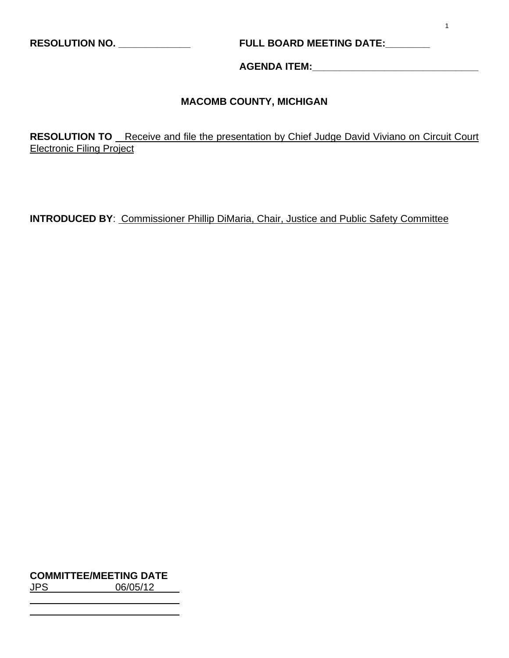**RESOLUTION NO. \_\_\_\_\_\_\_\_\_\_\_\_\_ FULL BOARD MEETING DATE:\_\_\_\_\_\_\_\_** 

**AGENDA ITEM:\_\_\_\_\_\_\_\_\_\_\_\_\_\_\_\_\_\_\_\_\_\_\_\_\_\_\_\_\_\_** 

# **MACOMB COUNTY, MICHIGAN**

**RESOLUTION TO** Receive and file the presentation by Chief Judge David Viviano on Circuit Court Electronic Filing Project

**INTRODUCED BY**: Commissioner Phillip DiMaria, Chair, Justice and Public Safety Committee

**COMMITTEE/MEETING DATE**

JPS 06/05/12

 $\overline{a}$  $\overline{a}$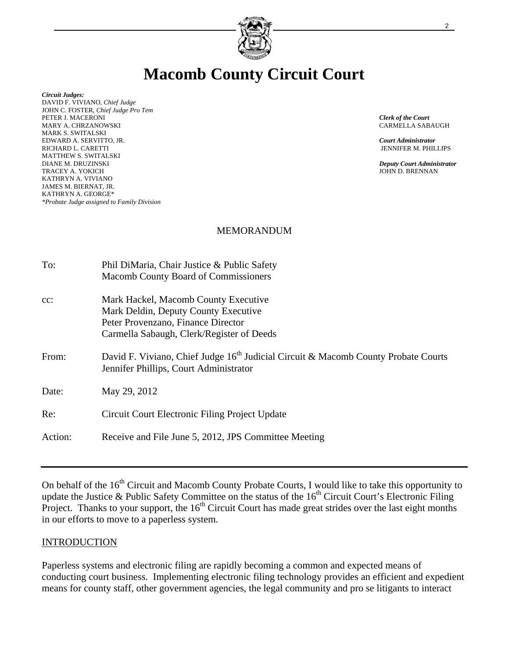

# **Macomb County Circuit Court**

*Circuit Judges:*  DAVID F. VIVIANO, *Chief Judge* JOHN C. FOSTER, *Chief Judge Pro Tem*  PETER J. MACERONI *Clerk of the Court* MARY A. CHRZANOWSKI CARMELLA SABAUGH MARK S. SWITALSKI EDWARD A. SERVITTO, JR. *Court Administrator* RICHARD L. CARETTI JENNIFER M. PHILLIPS MATTHEW S. SWITALSKI<br>DIANE M. DRUZINSKI TRACEY A. YOKICH KATHRYN A. VIVIANO JAMES M. BIERNAT, JR. KATHRYN A. GEORGE\* *\*Probate Judge assigned to Family Division* 

*Deputy Court Administrator*<br>JOHN D. BRENNAN

### MEMORANDUM

| To:     | Phil DiMaria, Chair Justice & Public Safety<br>Macomb County Board of Commissioners                                                                             |
|---------|-----------------------------------------------------------------------------------------------------------------------------------------------------------------|
| $cc$ :  | Mark Hackel, Macomb County Executive<br>Mark Deldin, Deputy County Executive<br>Peter Provenzano, Finance Director<br>Carmella Sabaugh, Clerk/Register of Deeds |
| From:   | David F. Viviano, Chief Judge $16th$ Judicial Circuit & Macomb County Probate Courts<br>Jennifer Phillips, Court Administrator                                  |
| Date:   | May 29, 2012                                                                                                                                                    |
| Re:     | Circuit Court Electronic Filing Project Update                                                                                                                  |
| Action: | Receive and File June 5, 2012, JPS Committee Meeting                                                                                                            |

On behalf of the 16<sup>th</sup> Circuit and Macomb County Probate Courts, I would like to take this opportunity to update the Justice & Public Safety Committee on the status of the  $16<sup>th</sup>$  Circuit Court's Electronic Filing Project. Thanks to your support, the 16<sup>th</sup> Circuit Court has made great strides over the last eight months in our efforts to move to a paperless system.

#### **INTRODUCTION**

Paperless systems and electronic filing are rapidly becoming a common and expected means of conducting court business. Implementing electronic filing technology provides an efficient and expedient means for county staff, other government agencies, the legal community and pro se litigants to interact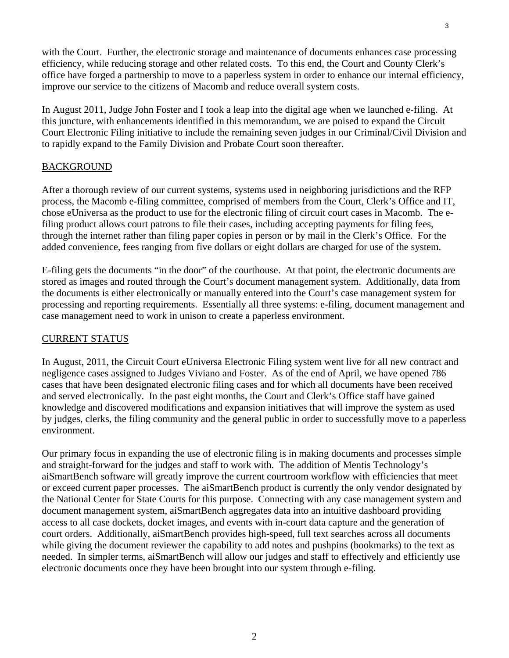with the Court. Further, the electronic storage and maintenance of documents enhances case processing efficiency, while reducing storage and other related costs. To this end, the Court and County Clerk's office have forged a partnership to move to a paperless system in order to enhance our internal efficiency, improve our service to the citizens of Macomb and reduce overall system costs.

In August 2011, Judge John Foster and I took a leap into the digital age when we launched e-filing. At this juncture, with enhancements identified in this memorandum, we are poised to expand the Circuit Court Electronic Filing initiative to include the remaining seven judges in our Criminal/Civil Division and to rapidly expand to the Family Division and Probate Court soon thereafter.

#### BACKGROUND

After a thorough review of our current systems, systems used in neighboring jurisdictions and the RFP process, the Macomb e-filing committee, comprised of members from the Court, Clerk's Office and IT, chose eUniversa as the product to use for the electronic filing of circuit court cases in Macomb. The efiling product allows court patrons to file their cases, including accepting payments for filing fees, through the internet rather than filing paper copies in person or by mail in the Clerk's Office. For the added convenience, fees ranging from five dollars or eight dollars are charged for use of the system.

E-filing gets the documents "in the door" of the courthouse. At that point, the electronic documents are stored as images and routed through the Court's document management system. Additionally, data from the documents is either electronically or manually entered into the Court's case management system for processing and reporting requirements. Essentially all three systems: e-filing, document management and case management need to work in unison to create a paperless environment.

### CURRENT STATUS

In August, 2011, the Circuit Court eUniversa Electronic Filing system went live for all new contract and negligence cases assigned to Judges Viviano and Foster. As of the end of April, we have opened 786 cases that have been designated electronic filing cases and for which all documents have been received and served electronically. In the past eight months, the Court and Clerk's Office staff have gained knowledge and discovered modifications and expansion initiatives that will improve the system as used by judges, clerks, the filing community and the general public in order to successfully move to a paperless environment.

Our primary focus in expanding the use of electronic filing is in making documents and processes simple and straight-forward for the judges and staff to work with. The addition of Mentis Technology's aiSmartBench software will greatly improve the current courtroom workflow with efficiencies that meet or exceed current paper processes. The aiSmartBench product is currently the only vendor designated by the National Center for State Courts for this purpose. Connecting with any case management system and document management system, aiSmartBench aggregates data into an intuitive dashboard providing access to all case dockets, docket images, and events with in-court data capture and the generation of court orders. Additionally, aiSmartBench provides high-speed, full text searches across all documents while giving the document reviewer the capability to add notes and pushpins (bookmarks) to the text as needed. In simpler terms, aiSmartBench will allow our judges and staff to effectively and efficiently use electronic documents once they have been brought into our system through e-filing.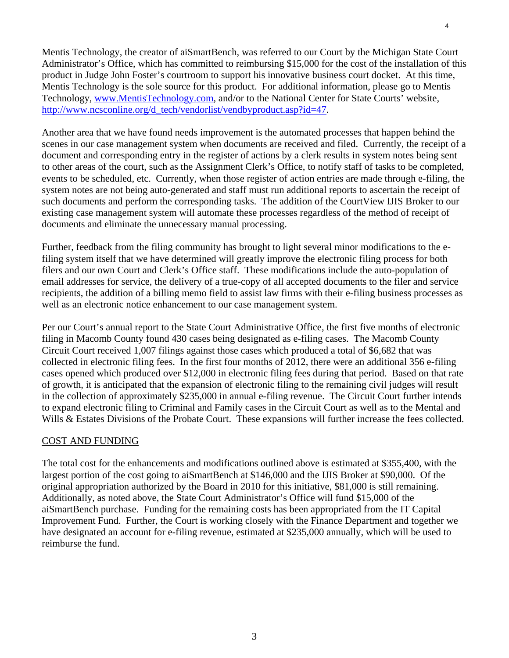Mentis Technology, the creator of aiSmartBench, was referred to our Court by the Michigan State Court Administrator's Office, which has committed to reimbursing \$15,000 for the cost of the installation of this product in Judge John Foster's courtroom to support his innovative business court docket. At this time, Mentis Technology is the sole source for this product. For additional information, please go to Mentis Technology, www.MentisTechnology.com, and/or to the National Center for State Courts' website, http://www.ncsconline.org/d\_tech/vendorlist/vendbyproduct.asp?id=47.

Another area that we have found needs improvement is the automated processes that happen behind the scenes in our case management system when documents are received and filed. Currently, the receipt of a document and corresponding entry in the register of actions by a clerk results in system notes being sent to other areas of the court, such as the Assignment Clerk's Office, to notify staff of tasks to be completed, events to be scheduled, etc. Currently, when those register of action entries are made through e-filing, the system notes are not being auto-generated and staff must run additional reports to ascertain the receipt of such documents and perform the corresponding tasks. The addition of the CourtView IJIS Broker to our existing case management system will automate these processes regardless of the method of receipt of documents and eliminate the unnecessary manual processing.

Further, feedback from the filing community has brought to light several minor modifications to the efiling system itself that we have determined will greatly improve the electronic filing process for both filers and our own Court and Clerk's Office staff. These modifications include the auto-population of email addresses for service, the delivery of a true-copy of all accepted documents to the filer and service recipients, the addition of a billing memo field to assist law firms with their e-filing business processes as well as an electronic notice enhancement to our case management system.

Per our Court's annual report to the State Court Administrative Office, the first five months of electronic filing in Macomb County found 430 cases being designated as e-filing cases. The Macomb County Circuit Court received 1,007 filings against those cases which produced a total of \$6,682 that was collected in electronic filing fees. In the first four months of 2012, there were an additional 356 e-filing cases opened which produced over \$12,000 in electronic filing fees during that period. Based on that rate of growth, it is anticipated that the expansion of electronic filing to the remaining civil judges will result in the collection of approximately \$235,000 in annual e-filing revenue. The Circuit Court further intends to expand electronic filing to Criminal and Family cases in the Circuit Court as well as to the Mental and Wills & Estates Divisions of the Probate Court. These expansions will further increase the fees collected.

#### COST AND FUNDING

The total cost for the enhancements and modifications outlined above is estimated at \$355,400, with the largest portion of the cost going to aiSmartBench at \$146,000 and the IJIS Broker at \$90,000. Of the original appropriation authorized by the Board in 2010 for this initiative, \$81,000 is still remaining. Additionally, as noted above, the State Court Administrator's Office will fund \$15,000 of the aiSmartBench purchase. Funding for the remaining costs has been appropriated from the IT Capital Improvement Fund. Further, the Court is working closely with the Finance Department and together we have designated an account for e-filing revenue, estimated at \$235,000 annually, which will be used to reimburse the fund.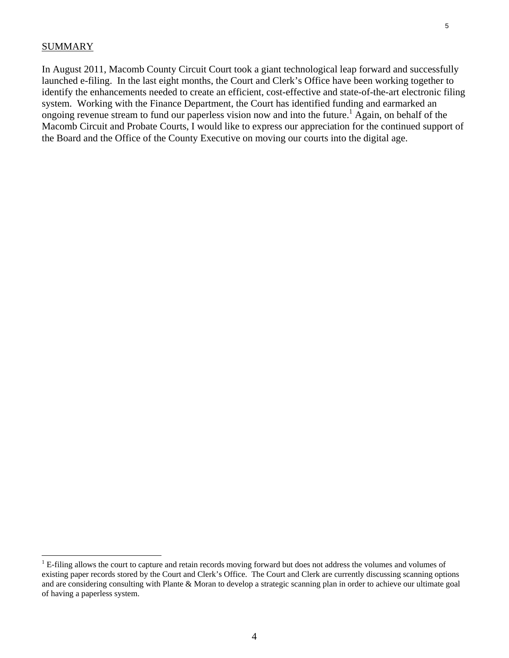#### **SUMMARY**

In August 2011, Macomb County Circuit Court took a giant technological leap forward and successfully launched e-filing. In the last eight months, the Court and Clerk's Office have been working together to identify the enhancements needed to create an efficient, cost-effective and state-of-the-art electronic filing system. Working with the Finance Department, the Court has identified funding and earmarked an ongoing revenue stream to fund our paperless vision now and into the future.<sup>1</sup> Again, on behalf of the Macomb Circuit and Probate Courts, I would like to express our appreciation for the continued support of the Board and the Office of the County Executive on moving our courts into the digital age.

 $<sup>1</sup>$  E-filing allows the court to capture and retain records moving forward but does not address the volumes and volumes of</sup> existing paper records stored by the Court and Clerk's Office. The Court and Clerk are currently discussing scanning options and are considering consulting with Plante & Moran to develop a strategic scanning plan in order to achieve our ultimate goal of having a paperless system.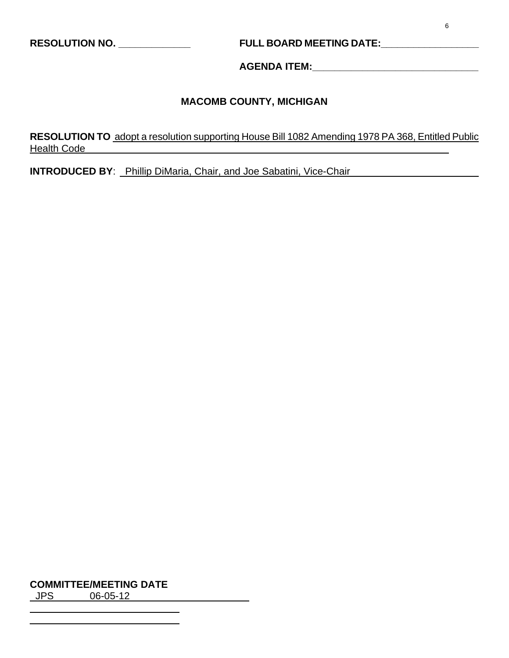# **RESOLUTION NO. \_\_\_\_\_\_\_\_\_\_\_\_\_ FULL BOARD MEETING DATE:\_\_\_\_\_\_\_\_\_\_\_\_\_\_\_\_\_\_**

**AGENDA ITEM:\_\_\_\_\_\_\_\_\_\_\_\_\_\_\_\_\_\_\_\_\_\_\_\_\_\_\_\_\_\_** 

# **MACOMB COUNTY, MICHIGAN**

**RESOLUTION TO** adopt a resolution supporting House Bill 1082 Amending 1978 PA 368, Entitled Public Health Code **Exercise Serverse Serverse Serverse Serverse Serverse Serverse Serverse Serverse Serverse Serverse Serverse Serverse Serverse Serverse Serverse Serverse Serverse Serverse Serverse Serverse Serverse Serverse Se** 

**INTRODUCED BY**: Phillip DiMaria, Chair, and Joe Sabatini, Vice-Chair

**COMMITTEE/MEETING DATE**

JPS 06-05-12

 $\overline{a}$  $\overline{a}$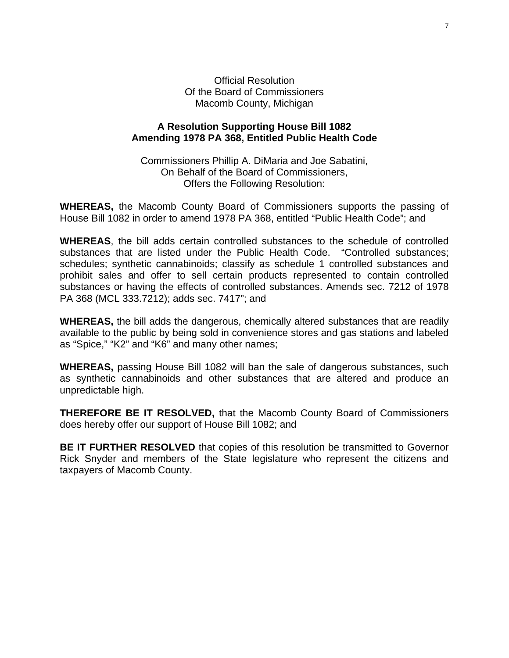Official Resolution Of the Board of Commissioners Macomb County, Michigan

#### **A Resolution Supporting House Bill 1082 Amending 1978 PA 368, Entitled Public Health Code**

Commissioners Phillip A. DiMaria and Joe Sabatini, On Behalf of the Board of Commissioners, Offers the Following Resolution:

**WHEREAS,** the Macomb County Board of Commissioners supports the passing of House Bill 1082 in order to amend 1978 PA 368, entitled "Public Health Code"; and

**WHEREAS**, the bill adds certain controlled substances to the schedule of controlled substances that are listed under the Public Health Code. "Controlled substances; schedules; synthetic cannabinoids; classify as schedule 1 controlled substances and prohibit sales and offer to sell certain products represented to contain controlled substances or having the effects of controlled substances. Amends sec. 7212 of [1978](http://www.legislature.mi.gov/(S(cbalxw55rtp5rsr5bsekpz45))/mileg.aspx?page=getObject&objectname=mcl-act-368-of-1978)  [PA 368](http://www.legislature.mi.gov/(S(cbalxw55rtp5rsr5bsekpz45))/mileg.aspx?page=getObject&objectname=mcl-act-368-of-1978) (MCL [333.7212](http://www.legislature.mi.gov/(S(cbalxw55rtp5rsr5bsekpz45))/mileg.aspx?page=getObject&objectname=mcl-333-7212)); adds sec. 7417"; and

**WHEREAS,** the bill adds the dangerous, chemically altered substances that are readily available to the public by being sold in convenience stores and gas stations and labeled as "Spice," "K2" and "K6" and many other names;

**WHEREAS,** passing House Bill 1082 will ban the sale of dangerous substances, such as synthetic cannabinoids and other substances that are altered and produce an unpredictable high.

**THEREFORE BE IT RESOLVED,** that the Macomb County Board of Commissioners does hereby offer our support of House Bill 1082; and

**BE IT FURTHER RESOLVED** that copies of this resolution be transmitted to Governor Rick Snyder and members of the State legislature who represent the citizens and taxpayers of Macomb County.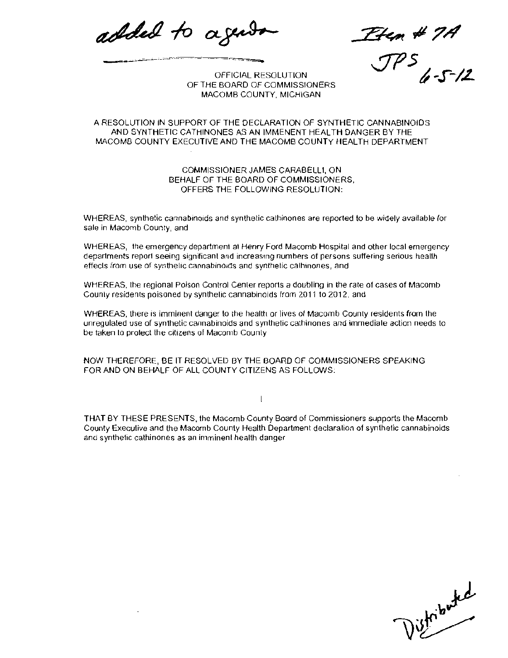added to age

Etem # 7A<br>JP5<br>JP5

OFFICIAL RESOLUTION OF THE BOARD OF COMMISSIONERS MACOMB COUNTY, MICHIGAN

#### A RESOLUTION IN SUPPORT OF THE DECLARATION OF SYNTHETIC CANNABINOJDS AND SYNTHETIC CATHINONES AS AN IMMENENT HEALTH DANGER BY THE MACOMB COUNTY EXECUTIVE AND THE MACOMB COUNTy HEALTH DEPARTMENT

COMMISSIONER JAMES CARABELL1, ON BEHALF OF THE BOARD OF COMMISSIONERS, OFFERS THE FOLLOWING RESOLUTION:

WHEREAS, synthetic cannabinoids and synthetic cathinones are reported to be widely available for sale in Macomb County, and

WHEREAS, the emergency department at Henry Ford Macomb Hospital and other local emergency departments reporl seeing significant and increasmg numbers of persons suffering serious heal1h effects from use of synthetic cannabinolds and synthetic cathinones, and

WHEREAS, the regional Poison Control Center reporls a doubling in the rate of cases of Macomb Counly residents poisoned by synthelic cannabinoids from 2011 102012, and

WHEREAS, there is imminent danger to the health or lives of Macomb County residents from the unregulated use of synlhetic cannabinoids and synthetic cathinones and immediate action needs to be taken to protect the citizens of Macomb County

NOW THEREFORE, BE IT RESOLVED BY THE BOARD OF COMMISSIONERS SPEAKING FOR AND ON BEHALF OF ALL COUNTY CITIZENS AS FOLLOWS.

 $\mathbf{I}$ 

THAT BY THESE PRESENTS, the Macomb County Board of Commissioners supports the Macomb County Executive and the Macomb County Health Department declaration of synthetic cannabjnoids and synthetic cathinones as an imminenl health danger

istributed